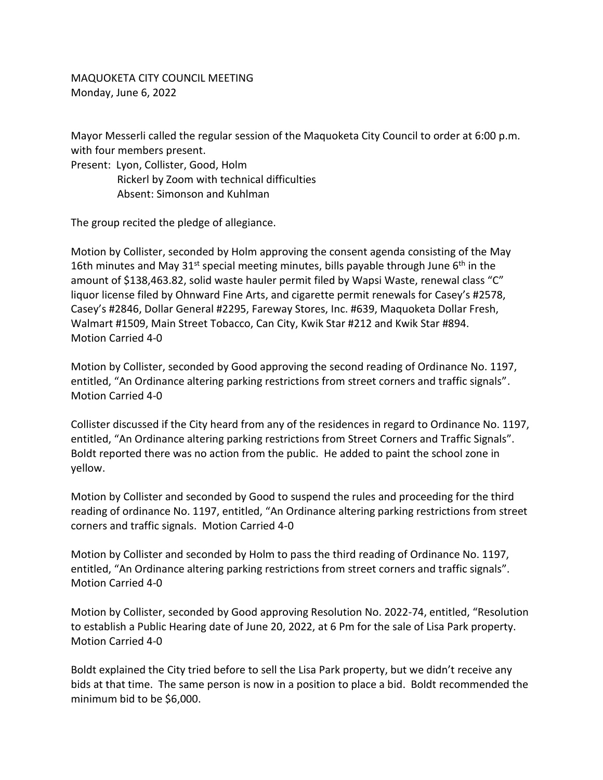MAQUOKETA CITY COUNCIL MEETING Monday, June 6, 2022

Mayor Messerli called the regular session of the Maquoketa City Council to order at 6:00 p.m. with four members present.

Present: Lyon, Collister, Good, Holm Rickerl by Zoom with technical difficulties Absent: Simonson and Kuhlman

The group recited the pledge of allegiance.

Motion by Collister, seconded by Holm approving the consent agenda consisting of the May 16th minutes and May 31st special meeting minutes, bills payable through June  $6<sup>th</sup>$  in the amount of \$138,463.82, solid waste hauler permit filed by Wapsi Waste, renewal class "C" liquor license filed by Ohnward Fine Arts, and cigarette permit renewals for Casey's #2578, Casey's #2846, Dollar General #2295, Fareway Stores, Inc. #639, Maquoketa Dollar Fresh, Walmart #1509, Main Street Tobacco, Can City, Kwik Star #212 and Kwik Star #894. Motion Carried 4-0

Motion by Collister, seconded by Good approving the second reading of Ordinance No. 1197, entitled, "An Ordinance altering parking restrictions from street corners and traffic signals". Motion Carried 4-0

Collister discussed if the City heard from any of the residences in regard to Ordinance No. 1197, entitled, "An Ordinance altering parking restrictions from Street Corners and Traffic Signals". Boldt reported there was no action from the public. He added to paint the school zone in yellow.

Motion by Collister and seconded by Good to suspend the rules and proceeding for the third reading of ordinance No. 1197, entitled, "An Ordinance altering parking restrictions from street corners and traffic signals. Motion Carried 4-0

Motion by Collister and seconded by Holm to pass the third reading of Ordinance No. 1197, entitled, "An Ordinance altering parking restrictions from street corners and traffic signals". Motion Carried 4-0

Motion by Collister, seconded by Good approving Resolution No. 2022-74, entitled, "Resolution to establish a Public Hearing date of June 20, 2022, at 6 Pm for the sale of Lisa Park property. Motion Carried 4-0

Boldt explained the City tried before to sell the Lisa Park property, but we didn't receive any bids at that time. The same person is now in a position to place a bid. Boldt recommended the minimum bid to be \$6,000.